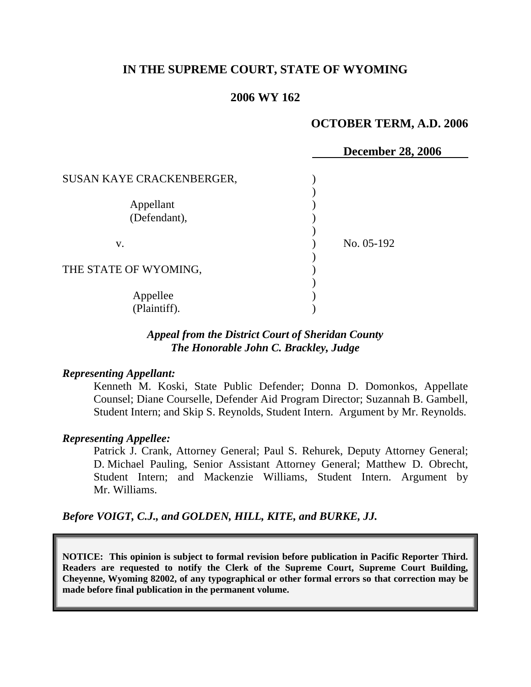# **IN THE SUPREME COURT, STATE OF WYOMING**

# **2006 WY 162**

## **OCTOBER TERM, A.D. 2006**

|                           | <b>December 28, 2006</b> |
|---------------------------|--------------------------|
|                           |                          |
| SUSAN KAYE CRACKENBERGER, |                          |
|                           |                          |
| Appellant                 |                          |
| (Defendant),              |                          |
|                           |                          |
|                           |                          |
| V.                        | No. 05-192               |
|                           |                          |
| THE STATE OF WYOMING,     |                          |
|                           |                          |
|                           |                          |
| Appellee                  |                          |
| (Plaintiff).              |                          |

# *Appeal from the District Court of Sheridan County The Honorable John C. Brackley, Judge*

### *Representing Appellant:*

Kenneth M. Koski, State Public Defender; Donna D. Domonkos, Appellate Counsel; Diane Courselle, Defender Aid Program Director; Suzannah B. Gambell, Student Intern; and Skip S. Reynolds, Student Intern. Argument by Mr. Reynolds.

### *Representing Appellee:*

Patrick J. Crank, Attorney General; Paul S. Rehurek, Deputy Attorney General; D. Michael Pauling, Senior Assistant Attorney General; Matthew D. Obrecht, Student Intern; and Mackenzie Williams, Student Intern. Argument by Mr. Williams.

*Before VOIGT, C.J., and GOLDEN, HILL, KITE, and BURKE, JJ.*

**NOTICE: This opinion is subject to formal revision before publication in Pacific Reporter Third. Readers are requested to notify the Clerk of the Supreme Court, Supreme Court Building, Cheyenne, Wyoming 82002, of any typographical or other formal errors so that correction may be made before final publication in the permanent volume.**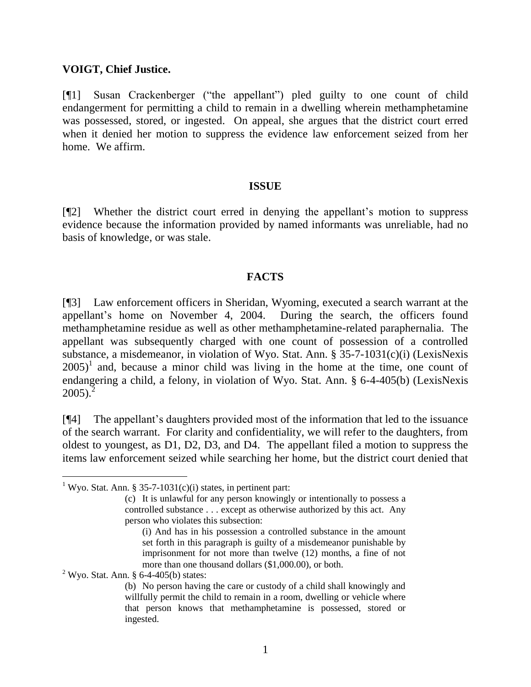## **VOIGT, Chief Justice.**

[¶1] Susan Crackenberger ("the appellant") pled guilty to one count of child endangerment for permitting a child to remain in a dwelling wherein methamphetamine was possessed, stored, or ingested. On appeal, she argues that the district court erred when it denied her motion to suppress the evidence law enforcement seized from her home. We affirm.

## **ISSUE**

[¶2] Whether the district court erred in denying the appellant's motion to suppress evidence because the information provided by named informants was unreliable, had no basis of knowledge, or was stale.

## **FACTS**

[¶3] Law enforcement officers in Sheridan, Wyoming, executed a search warrant at the appellant's home on November 4, 2004. During the search, the officers found methamphetamine residue as well as other methamphetamine-related paraphernalia. The appellant was subsequently charged with one count of possession of a controlled substance, a misdemeanor, in violation of Wyo. Stat. Ann. § 35-7-1031(c)(i) (LexisNexis  $2005$ <sup>1</sup> and, because a minor child was living in the home at the time, one count of endangering a child, a felony, in violation of Wyo. Stat. Ann. § 6-4-405(b) (LexisNexis  $2005$ <sup>2</sup>

[¶4] The appellant's daughters provided most of the information that led to the issuance of the search warrant. For clarity and confidentiality, we will refer to the daughters, from oldest to youngest, as D1, D2, D3, and D4. The appellant filed a motion to suppress the items law enforcement seized while searching her home, but the district court denied that

 $2$  Wyo. Stat. Ann. § 6-4-405(b) states:

 $\overline{a}$ 

<sup>&</sup>lt;sup>1</sup> Wyo. Stat. Ann. § 35-7-1031(c)(i) states, in pertinent part:

<sup>(</sup>c) It is unlawful for any person knowingly or intentionally to possess a controlled substance . . . except as otherwise authorized by this act. Any person who violates this subsection:

<sup>(</sup>i) And has in his possession a controlled substance in the amount set forth in this paragraph is guilty of a misdemeanor punishable by imprisonment for not more than twelve (12) months, a fine of not more than one thousand dollars (\$1,000.00), or both.

<sup>(</sup>b) No person having the care or custody of a child shall knowingly and willfully permit the child to remain in a room, dwelling or vehicle where that person knows that methamphetamine is possessed, stored or ingested.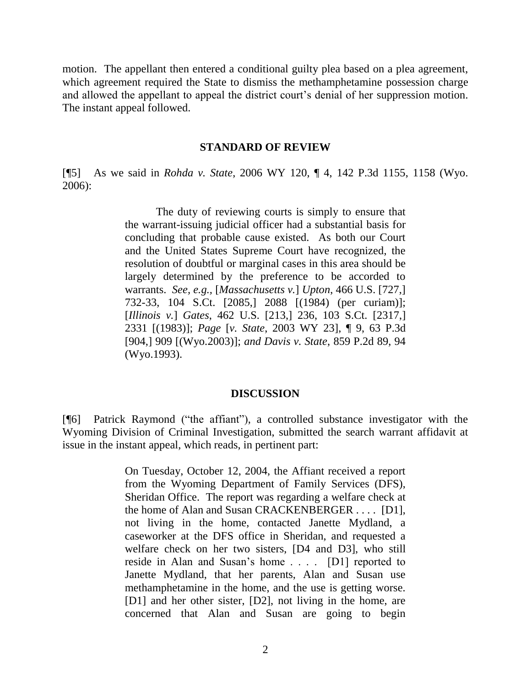motion. The appellant then entered a conditional guilty plea based on a plea agreement, which agreement required the State to dismiss the methamphetamine possession charge and allowed the appellant to appeal the district court's denial of her suppression motion. The instant appeal followed.

#### **STANDARD OF REVIEW**

[¶5] As we said in *Rohda v. State*, 2006 WY 120, ¶ 4, 142 P.3d 1155, 1158 (Wyo. 2006):

> The duty of reviewing courts is simply to ensure that the warrant-issuing judicial officer had a substantial basis for concluding that probable cause existed. As both our Court and the United States Supreme Court have recognized, the resolution of doubtful or marginal cases in this area should be largely determined by the preference to be accorded to warrants. *See, e.g.,* [*Massachusetts v.*] *Upton*, 466 U.S. [727,] 732-33, 104 S.Ct. [2085,] 2088 [(1984) (per curiam)]; [*Illinois v.*] *Gates*, 462 U.S. [213,] 236, 103 S.Ct. [2317,] 2331 [(1983)]; *Page* [*v. State*, 2003 WY 23], ¶ 9, 63 P.3d [904,] 909 [(Wyo.2003)]; *and Davis v. State*, 859 P.2d 89, 94 (Wyo.1993).

#### **DISCUSSION**

[¶6] Patrick Raymond ("the affiant"), a controlled substance investigator with the Wyoming Division of Criminal Investigation, submitted the search warrant affidavit at issue in the instant appeal, which reads, in pertinent part:

> On Tuesday, October 12, 2004, the Affiant received a report from the Wyoming Department of Family Services (DFS), Sheridan Office. The report was regarding a welfare check at the home of Alan and Susan CRACKENBERGER . . . . [D1], not living in the home, contacted Janette Mydland, a caseworker at the DFS office in Sheridan, and requested a welfare check on her two sisters, [D4 and D3], who still reside in Alan and Susan's home . . . . [D1] reported to Janette Mydland, that her parents, Alan and Susan use methamphetamine in the home, and the use is getting worse. [D1] and her other sister, [D2], not living in the home, are concerned that Alan and Susan are going to begin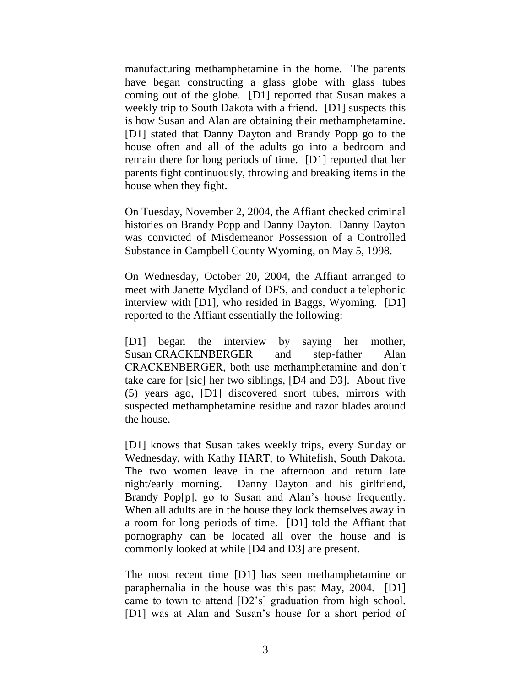manufacturing methamphetamine in the home. The parents have began constructing a glass globe with glass tubes coming out of the globe. [D1] reported that Susan makes a weekly trip to South Dakota with a friend. [D1] suspects this is how Susan and Alan are obtaining their methamphetamine. [D1] stated that Danny Dayton and Brandy Popp go to the house often and all of the adults go into a bedroom and remain there for long periods of time. [D1] reported that her parents fight continuously, throwing and breaking items in the house when they fight.

On Tuesday, November 2, 2004, the Affiant checked criminal histories on Brandy Popp and Danny Dayton. Danny Dayton was convicted of Misdemeanor Possession of a Controlled Substance in Campbell County Wyoming, on May 5, 1998.

On Wednesday, October 20, 2004, the Affiant arranged to meet with Janette Mydland of DFS, and conduct a telephonic interview with [D1], who resided in Baggs, Wyoming. [D1] reported to the Affiant essentially the following:

[D1] began the interview by saying her mother, Susan CRACKENBERGER and step-father Alan CRACKENBERGER, both use methamphetamine and don't take care for [sic] her two siblings, [D4 and D3]. About five (5) years ago, [D1] discovered snort tubes, mirrors with suspected methamphetamine residue and razor blades around the house.

[D1] knows that Susan takes weekly trips, every Sunday or Wednesday, with Kathy HART, to Whitefish, South Dakota. The two women leave in the afternoon and return late night/early morning. Danny Dayton and his girlfriend, Brandy Pop[p], go to Susan and Alan's house frequently. When all adults are in the house they lock themselves away in a room for long periods of time. [D1] told the Affiant that pornography can be located all over the house and is commonly looked at while [D4 and D3] are present.

The most recent time [D1] has seen methamphetamine or paraphernalia in the house was this past May, 2004. [D1] came to town to attend [D2's] graduation from high school. [D1] was at Alan and Susan's house for a short period of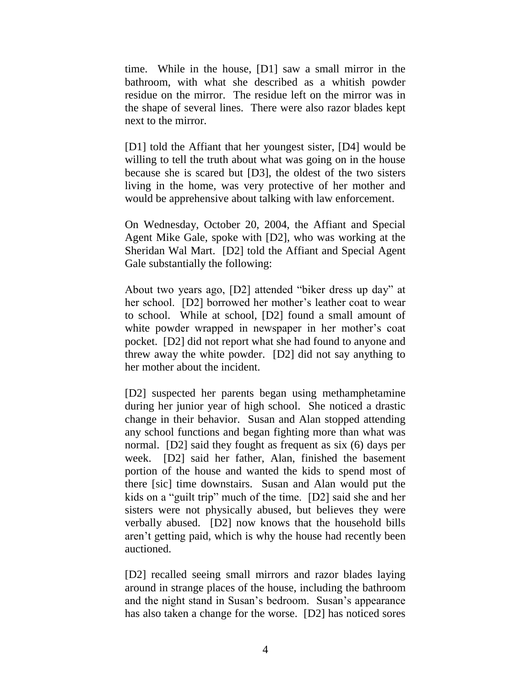time. While in the house, [D1] saw a small mirror in the bathroom, with what she described as a whitish powder residue on the mirror. The residue left on the mirror was in the shape of several lines. There were also razor blades kept next to the mirror.

[D1] told the Affiant that her youngest sister, [D4] would be willing to tell the truth about what was going on in the house because she is scared but [D3], the oldest of the two sisters living in the home, was very protective of her mother and would be apprehensive about talking with law enforcement.

On Wednesday, October 20, 2004, the Affiant and Special Agent Mike Gale, spoke with [D2], who was working at the Sheridan Wal Mart. [D2] told the Affiant and Special Agent Gale substantially the following:

About two years ago, [D2] attended "biker dress up day" at her school. [D2] borrowed her mother's leather coat to wear to school. While at school, [D2] found a small amount of white powder wrapped in newspaper in her mother's coat pocket. [D2] did not report what she had found to anyone and threw away the white powder. [D2] did not say anything to her mother about the incident.

[D2] suspected her parents began using methamphetamine during her junior year of high school. She noticed a drastic change in their behavior. Susan and Alan stopped attending any school functions and began fighting more than what was normal. [D2] said they fought as frequent as six (6) days per week. [D2] said her father, Alan, finished the basement portion of the house and wanted the kids to spend most of there [sic] time downstairs. Susan and Alan would put the kids on a "guilt trip" much of the time. [D2] said she and her sisters were not physically abused, but believes they were verbally abused. [D2] now knows that the household bills aren't getting paid, which is why the house had recently been auctioned.

[D2] recalled seeing small mirrors and razor blades laying around in strange places of the house, including the bathroom and the night stand in Susan's bedroom. Susan's appearance has also taken a change for the worse. [D2] has noticed sores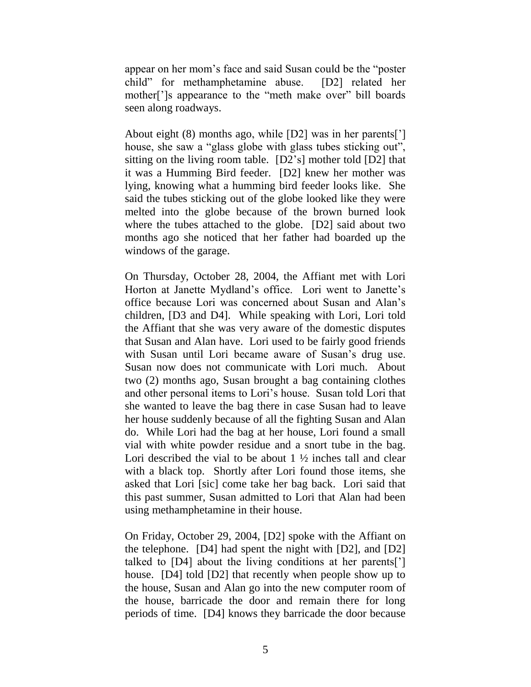appear on her mom's face and said Susan could be the "poster" child" for methamphetamine abuse. [D2] related her mother<sup>[']</sup>s appearance to the "meth make over" bill boards seen along roadways.

About eight (8) months ago, while [D2] was in her parents['] house, she saw a "glass globe with glass tubes sticking out", sitting on the living room table. [D2's] mother told [D2] that it was a Humming Bird feeder. [D2] knew her mother was lying, knowing what a humming bird feeder looks like. She said the tubes sticking out of the globe looked like they were melted into the globe because of the brown burned look where the tubes attached to the globe. [D2] said about two months ago she noticed that her father had boarded up the windows of the garage.

On Thursday, October 28, 2004, the Affiant met with Lori Horton at Janette Mydland's office. Lori went to Janette's office because Lori was concerned about Susan and Alan's children, [D3 and D4]. While speaking with Lori, Lori told the Affiant that she was very aware of the domestic disputes that Susan and Alan have. Lori used to be fairly good friends with Susan until Lori became aware of Susan's drug use. Susan now does not communicate with Lori much. About two (2) months ago, Susan brought a bag containing clothes and other personal items to Lori's house. Susan told Lori that she wanted to leave the bag there in case Susan had to leave her house suddenly because of all the fighting Susan and Alan do. While Lori had the bag at her house, Lori found a small vial with white powder residue and a snort tube in the bag. Lori described the vial to be about  $1 \frac{1}{2}$  inches tall and clear with a black top. Shortly after Lori found those items, she asked that Lori [sic] come take her bag back. Lori said that this past summer, Susan admitted to Lori that Alan had been using methamphetamine in their house.

On Friday, October 29, 2004, [D2] spoke with the Affiant on the telephone. [D4] had spent the night with [D2], and [D2] talked to [D4] about the living conditions at her parents['] house. [D4] told [D2] that recently when people show up to the house, Susan and Alan go into the new computer room of the house, barricade the door and remain there for long periods of time. [D4] knows they barricade the door because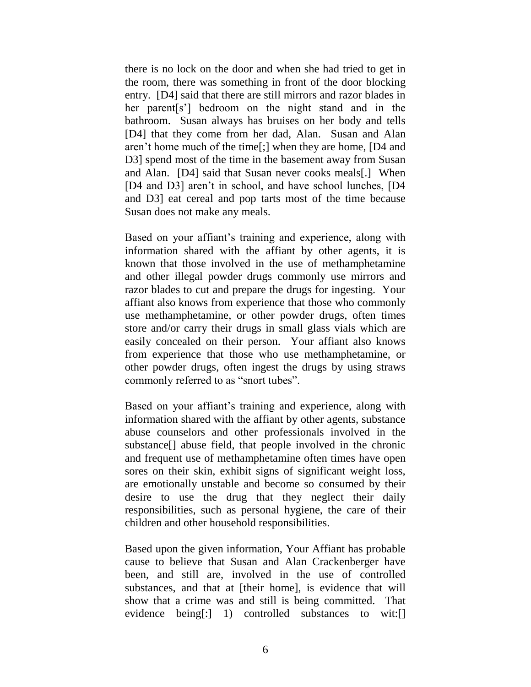there is no lock on the door and when she had tried to get in the room, there was something in front of the door blocking entry. [D4] said that there are still mirrors and razor blades in her parent[s'] bedroom on the night stand and in the bathroom. Susan always has bruises on her body and tells [D4] that they come from her dad, Alan. Susan and Alan aren't home much of the time[;] when they are home, [D4 and D3] spend most of the time in the basement away from Susan and Alan. [D4] said that Susan never cooks meals[.] When [D4 and D3] aren't in school, and have school lunches, [D4] and D3] eat cereal and pop tarts most of the time because Susan does not make any meals.

Based on your affiant's training and experience, along with information shared with the affiant by other agents, it is known that those involved in the use of methamphetamine and other illegal powder drugs commonly use mirrors and razor blades to cut and prepare the drugs for ingesting. Your affiant also knows from experience that those who commonly use methamphetamine, or other powder drugs, often times store and/or carry their drugs in small glass vials which are easily concealed on their person. Your affiant also knows from experience that those who use methamphetamine, or other powder drugs, often ingest the drugs by using straws commonly referred to as "snort tubes".

Based on your affiant's training and experience, along with information shared with the affiant by other agents, substance abuse counselors and other professionals involved in the substance[] abuse field, that people involved in the chronic and frequent use of methamphetamine often times have open sores on their skin, exhibit signs of significant weight loss, are emotionally unstable and become so consumed by their desire to use the drug that they neglect their daily responsibilities, such as personal hygiene, the care of their children and other household responsibilities.

Based upon the given information, Your Affiant has probable cause to believe that Susan and Alan Crackenberger have been, and still are, involved in the use of controlled substances, and that at [their home], is evidence that will show that a crime was and still is being committed. That evidence being[:] 1) controlled substances to wit:[]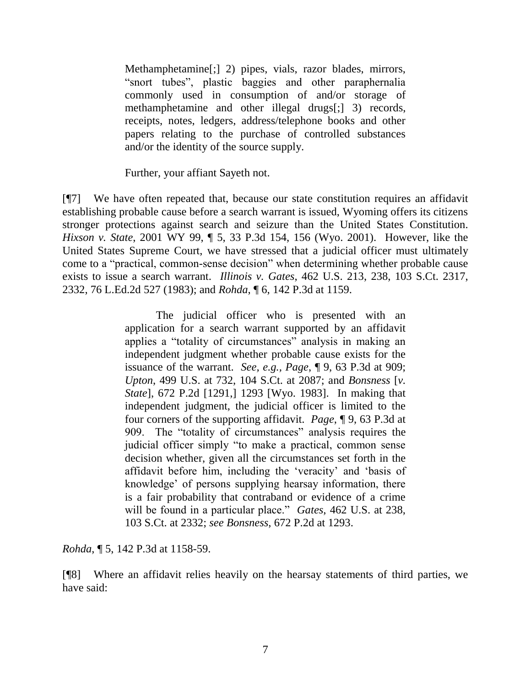Methamphetamine[;] 2) pipes, vials, razor blades, mirrors, "snort tubes", plastic baggies and other paraphernalia commonly used in consumption of and/or storage of methamphetamine and other illegal drugs[;] 3) records, receipts, notes, ledgers, address/telephone books and other papers relating to the purchase of controlled substances and/or the identity of the source supply.

Further, your affiant Sayeth not.

[¶7] We have often repeated that, because our state constitution requires an affidavit establishing probable cause before a search warrant is issued, Wyoming offers its citizens stronger protections against search and seizure than the United States Constitution. *Hixson v. State*, 2001 WY 99, ¶ 5, 33 P.3d 154, 156 (Wyo. 2001). However, like the United States Supreme Court, we have stressed that a judicial officer must ultimately come to a "practical, common-sense decision" when determining whether probable cause exists to issue a search warrant. *Illinois v. Gates*, 462 U.S. 213, 238, 103 S.Ct. 2317, 2332, 76 L.Ed.2d 527 (1983); and *Rohda*, ¶ 6, 142 P.3d at 1159.

> The judicial officer who is presented with an application for a search warrant supported by an affidavit applies a "totality of circumstances" analysis in making an independent judgment whether probable cause exists for the issuance of the warrant. *See, e.g., Page*, ¶ 9, 63 P.3d at 909; *Upton*, 499 U.S. at 732, 104 S.Ct. at 2087; and *Bonsness* [*v. State*], 672 P.2d [1291,] 1293 [Wyo. 1983]. In making that independent judgment, the judicial officer is limited to the four corners of the supporting affidavit. *Page*, ¶ 9, 63 P.3d at 909. The "totality of circumstances" analysis requires the judicial officer simply "to make a practical, common sense decision whether, given all the circumstances set forth in the affidavit before him, including the 'veracity' and 'basis of knowledge' of persons supplying hearsay information, there is a fair probability that contraband or evidence of a crime will be found in a particular place." *Gates*, 462 U.S. at 238, 103 S.Ct. at 2332; *see Bonsness*, 672 P.2d at 1293.

*Rohda*, ¶ 5, 142 P.3d at 1158-59.

[¶8] Where an affidavit relies heavily on the hearsay statements of third parties, we have said: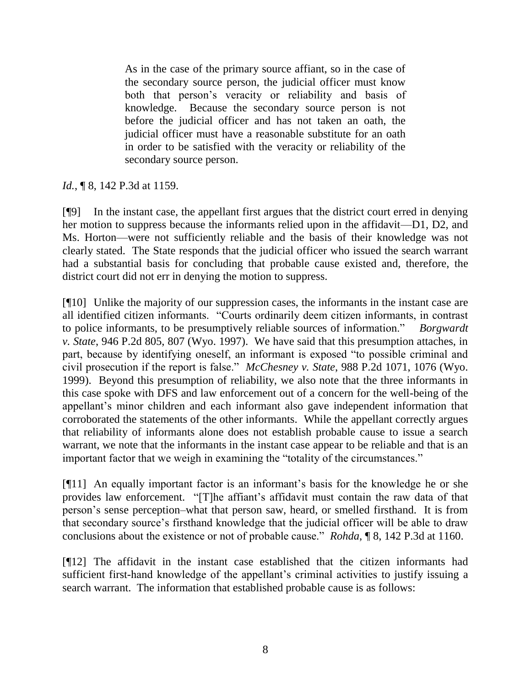As in the case of the primary source affiant, so in the case of the secondary source person, the judicial officer must know both that person's veracity or reliability and basis of knowledge. Because the secondary source person is not before the judicial officer and has not taken an oath, the judicial officer must have a reasonable substitute for an oath in order to be satisfied with the veracity or reliability of the secondary source person.

*Id.*, **[8, 142 P.3d at 1159.** 

[¶9] In the instant case, the appellant first argues that the district court erred in denying her motion to suppress because the informants relied upon in the affidavit—D1, D2, and Ms. Horton—were not sufficiently reliable and the basis of their knowledge was not clearly stated. The State responds that the judicial officer who issued the search warrant had a substantial basis for concluding that probable cause existed and, therefore, the district court did not err in denying the motion to suppress.

[¶10] Unlike the majority of our suppression cases, the informants in the instant case are all identified citizen informants. "Courts ordinarily deem citizen informants, in contrast to police informants, to be presumptively reliable sources of information." *Borgwardt v. State*, 946 P.2d 805, 807 (Wyo. 1997). We have said that this presumption attaches, in part, because by identifying oneself, an informant is exposed "to possible criminal and civil prosecution if the report is false.‖ *McChesney v. State*, 988 P.2d 1071, 1076 (Wyo. 1999). Beyond this presumption of reliability, we also note that the three informants in this case spoke with DFS and law enforcement out of a concern for the well-being of the appellant's minor children and each informant also gave independent information that corroborated the statements of the other informants. While the appellant correctly argues that reliability of informants alone does not establish probable cause to issue a search warrant, we note that the informants in the instant case appear to be reliable and that is an important factor that we weigh in examining the "totality of the circumstances."

[¶11] An equally important factor is an informant's basis for the knowledge he or she provides law enforcement. "[T]he affiant's affidavit must contain the raw data of that person's sense perception–what that person saw, heard, or smelled firsthand. It is from that secondary source's firsthand knowledge that the judicial officer will be able to draw conclusions about the existence or not of probable cause." *Rohda*, ¶ 8, 142 P.3d at 1160.

[¶12] The affidavit in the instant case established that the citizen informants had sufficient first-hand knowledge of the appellant's criminal activities to justify issuing a search warrant. The information that established probable cause is as follows: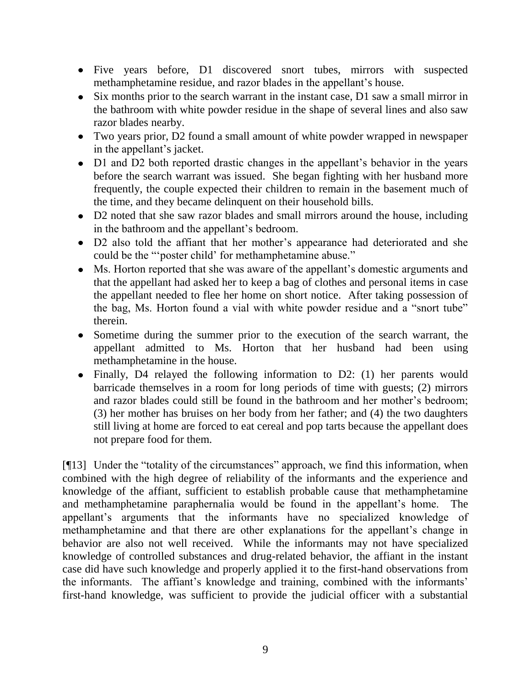- Five years before, D1 discovered snort tubes, mirrors with suspected methamphetamine residue, and razor blades in the appellant's house.
- Six months prior to the search warrant in the instant case, D1 saw a small mirror in the bathroom with white powder residue in the shape of several lines and also saw razor blades nearby.
- Two years prior, D2 found a small amount of white powder wrapped in newspaper in the appellant's jacket.
- D1 and D2 both reported drastic changes in the appellant's behavior in the years before the search warrant was issued. She began fighting with her husband more frequently, the couple expected their children to remain in the basement much of the time, and they became delinquent on their household bills.
- D2 noted that she saw razor blades and small mirrors around the house, including in the bathroom and the appellant's bedroom.
- D2 also told the affiant that her mother's appearance had deteriorated and she could be the "poster child' for methamphetamine abuse."
- Ms. Horton reported that she was aware of the appellant's domestic arguments and that the appellant had asked her to keep a bag of clothes and personal items in case the appellant needed to flee her home on short notice. After taking possession of the bag, Ms. Horton found a vial with white powder residue and a "snort tube" therein.
- Sometime during the summer prior to the execution of the search warrant, the appellant admitted to Ms. Horton that her husband had been using methamphetamine in the house.
- Finally, D4 relayed the following information to D2: (1) her parents would barricade themselves in a room for long periods of time with guests; (2) mirrors and razor blades could still be found in the bathroom and her mother's bedroom; (3) her mother has bruises on her body from her father; and (4) the two daughters still living at home are forced to eat cereal and pop tarts because the appellant does not prepare food for them.

 $[$ [[13] Under the "totality of the circumstances" approach, we find this information, when combined with the high degree of reliability of the informants and the experience and knowledge of the affiant, sufficient to establish probable cause that methamphetamine and methamphetamine paraphernalia would be found in the appellant's home. The appellant's arguments that the informants have no specialized knowledge of methamphetamine and that there are other explanations for the appellant's change in behavior are also not well received. While the informants may not have specialized knowledge of controlled substances and drug-related behavior, the affiant in the instant case did have such knowledge and properly applied it to the first-hand observations from the informants. The affiant's knowledge and training, combined with the informants' first-hand knowledge, was sufficient to provide the judicial officer with a substantial